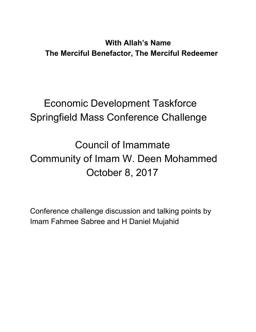#### **With Allah's Name The Merciful Benefactor, The Merciful Redeemer**

## Economic Development Taskforce Springfield Mass Conference Challenge

Council of Imammate Community of Imam W. Deen Mohammed October 8, 2017

Conference challenge discussion and talking points by Imam Fahmee Sabree and H Daniel Mujahid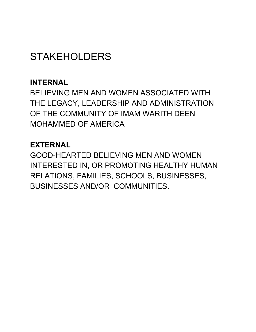## **STAKEHOLDERS**

#### **INTERNAL**

BELIEVING MEN AND WOMEN ASSOCIATED WITH THE LEGACY, LEADERSHIP AND ADMINISTRATION OF THE COMMUNITY OF IMAM WARITH DEEN MOHAMMED OF AMERICA

#### **EXTERNAL**

GOOD-HEARTED BELIEVING MEN AND WOMEN INTERESTED IN, OR PROMOTING HEALTHY HUMAN RELATIONS, FAMILIES, SCHOOLS, BUSINESSES, BUSINESSES AND/OR COMMUNITIES.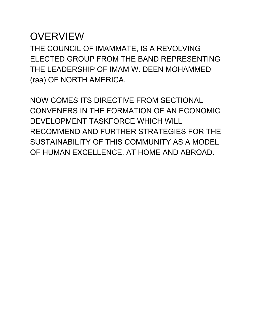#### **OVERVIEW**

THE COUNCIL OF IMAMMATE, IS A REVOLVING ELECTED GROUP FROM THE BAND REPRESENTING THE LEADERSHIP OF IMAM W. DEEN MOHAMMED (raa) OF NORTH AMERICA.

NOW COMES ITS DIRECTIVE FROM SECTIONAL CONVENERS IN THE FORMATION OF AN ECONOMIC DEVELOPMENT TASKFORCE WHICH WILL RECOMMEND AND FURTHER STRATEGIES FOR THE SUSTAINABILITY OF THIS COMMUNITY AS A MODEL OF HUMAN EXCELLENCE, AT HOME AND ABROAD.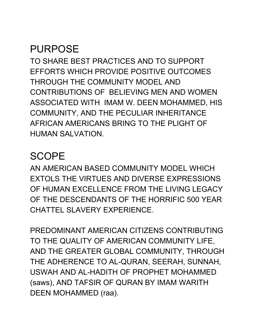## PURPOSE

TO SHARE BEST PRACTICES AND TO SUPPORT EFFORTS WHICH PROVIDE POSITIVE OUTCOMES THROUGH THE COMMUNITY MODEL AND CONTRIBUTIONS OF BELIEVING MEN AND WOMEN ASSOCIATED WITH IMAM W. DEEN MOHAMMED, HIS COMMUNITY, AND THE PECULIAR INHERITANCE AFRICAN AMERICANS BRING TO THE PLIGHT OF HUMAN SALVATION.

### **SCOPE**

AN AMERICAN BASED COMMUNITY MODEL WHICH EXTOLS THE VIRTUES AND DIVERSE EXPRESSIONS OF HUMAN EXCELLENCE FROM THE LIVING LEGACY OF THE DESCENDANTS OF THE HORRIFIC 500 YEAR CHATTEL SLAVERY EXPERIENCE.

PREDOMINANT AMERICAN CITIZENS CONTRIBUTING TO THE QUALITY OF AMERICAN COMMUNITY LIFE, AND THE GREATER GLOBAL COMMUNITY, THROUGH THE ADHERENCE TO AL-QURAN, SEERAH, SUNNAH, USWAH AND AL-HADITH OF PROPHET MOHAMMED (saws), AND TAFSIR OF QURAN BY IMAM WARITH DEEN MOHAMMED (raa).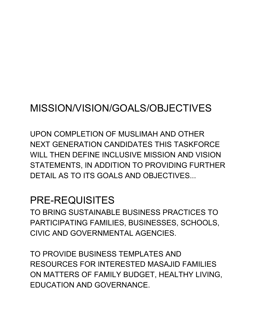## MISSION/VISION/GOALS/OBJECTIVES

UPON COMPLETION OF MUSLIMAH AND OTHER NEXT GENERATION CANDIDATES THIS TASKFORCE WILL THEN DEFINE INCLUSIVE MISSION AND VISION STATEMENTS, IN ADDITION TO PROVIDING FURTHER DETAIL AS TO ITS GOALS AND OBJECTIVES...

#### PRE-REQUISITES

TO BRING SUSTAINABLE BUSINESS PRACTICES TO PARTICIPATING FAMILIES, BUSINESSES, SCHOOLS, CIVIC AND GOVERNMENTAL AGENCIES.

TO PROVIDE BUSINESS TEMPLATES AND RESOURCES FOR INTERESTED MASAJID FAMILIES ON MATTERS OF FAMILY BUDGET, HEALTHY LIVING, EDUCATION AND GOVERNANCE.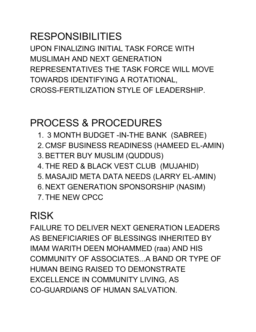# RESPONSIBILITIES

UPON FINALIZING INITIAL TASK FORCE WITH MUSLIMAH AND NEXT GENERATION REPRESENTATIVES THE TASK FORCE WILL MOVE TOWARDS IDENTIFYING A ROTATIONAL, CROSS-FERTILIZATION STYLE OF LEADERSHIP.

### PROCESS & PROCEDURES

- 1. 3 MONTH BUDGET -IN-THE BANK (SABREE)
- 2. CMSF BUSINESS READINESS (HAMEED EL-AMIN)
- 3. BETTER BUY MUSLIM (QUDDUS)
- 4. THE RED & BLACK VEST CLUB (MUJAHID)
- 5. MASAJID META DATA NEEDS (LARRY EL-AMIN)
- 6. NEXT GENERATION SPONSORSHIP (NASIM)
- 7. THE NEW CPCC

### RISK

FAILURE TO DELIVER NEXT GENERATION LEADERS AS BENEFICIARIES OF BLESSINGS INHERITED BY IMAM WARITH DEEN MOHAMMED (raa) AND HIS COMMUNITY OF ASSOCIATES...A BAND OR TYPE OF HUMAN BEING RAISED TO DEMONSTRATE EXCELLENCE IN COMMUNITY LIVING, AS CO-GUARDIANS OF HUMAN SALVATION.